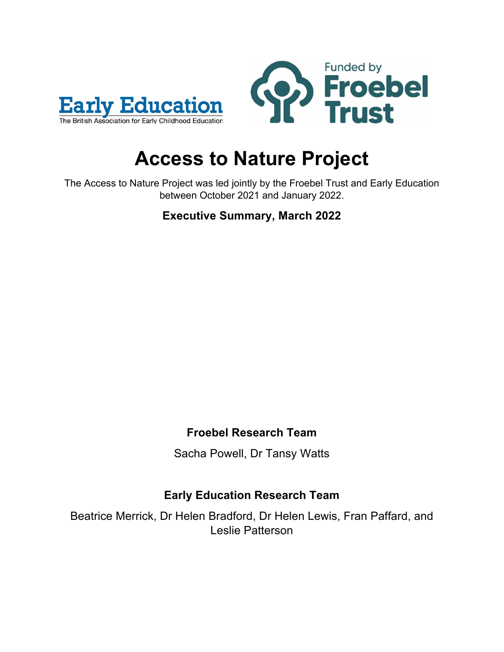



# **Access to Nature Project**

The Access to Nature Project was led jointly by the Froebel Trust and Early Education between October 2021 and January 2022.

**Executive Summary, March 2022**

### **Froebel Research Team**

Sacha Powell, Dr Tansy Watts

### **Early Education Research Team**

Beatrice Merrick, Dr Helen Bradford, Dr Helen Lewis, Fran Paffard, and Leslie Patterson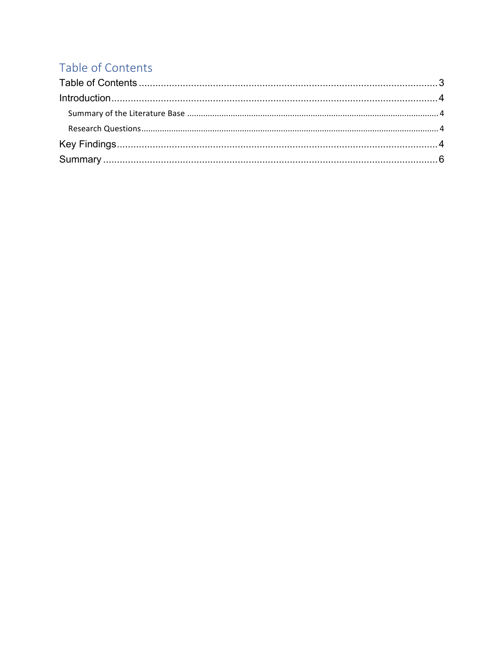# Table of Contents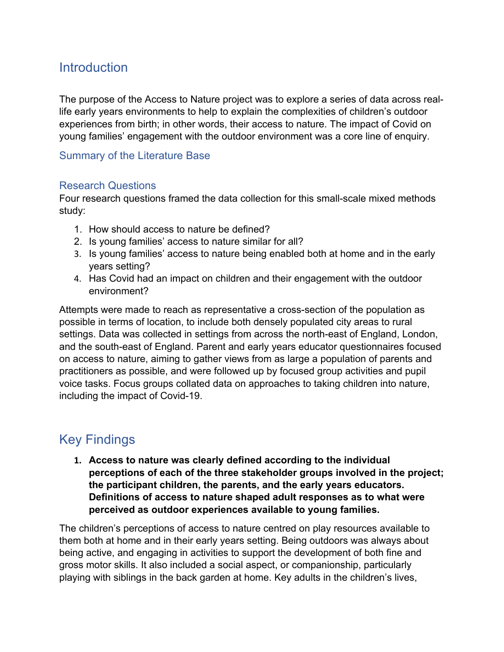### **Introduction**

The purpose of the Access to Nature project was to explore a series of data across reallife early years environments to help to explain the complexities of children's outdoor experiences from birth; in other words, their access to nature. The impact of Covid on young families' engagement with the outdoor environment was a core line of enquiry.

### Summary of the Literature Base

#### Research Questions

Four research questions framed the data collection for this small-scale mixed methods study:

- 1. How should access to nature be defined?
- 2. Is young families' access to nature similar for all?
- 3. Is young families' access to nature being enabled both at home and in the early years setting?
- 4. Has Covid had an impact on children and their engagement with the outdoor environment?

Attempts were made to reach as representative a cross-section of the population as possible in terms of location, to include both densely populated city areas to rural settings. Data was collected in settings from across the north-east of England, London, and the south-east of England. Parent and early years educator questionnaires focused on access to nature, aiming to gather views from as large a population of parents and practitioners as possible, and were followed up by focused group activities and pupil voice tasks. Focus groups collated data on approaches to taking children into nature, including the impact of Covid-19.

# Key Findings

**1. Access to nature was clearly defined according to the individual perceptions of each of the three stakeholder groups involved in the project; the participant children, the parents, and the early years educators. Definitions of access to nature shaped adult responses as to what were perceived as outdoor experiences available to young families.**

The children's perceptions of access to nature centred on play resources available to them both at home and in their early years setting. Being outdoors was always about being active, and engaging in activities to support the development of both fine and gross motor skills. It also included a social aspect, or companionship, particularly playing with siblings in the back garden at home. Key adults in the children's lives,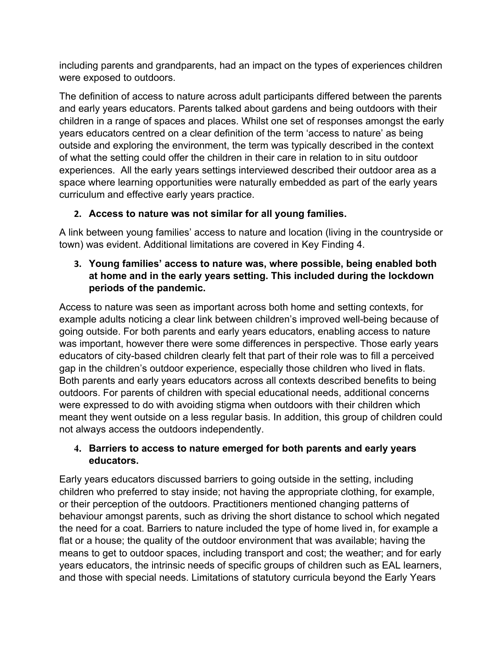including parents and grandparents, had an impact on the types of experiences children were exposed to outdoors.

The definition of access to nature across adult participants differed between the parents and early years educators. Parents talked about gardens and being outdoors with their children in a range of spaces and places. Whilst one set of responses amongst the early years educators centred on a clear definition of the term 'access to nature' as being outside and exploring the environment, the term was typically described in the context of what the setting could offer the children in their care in relation to in situ outdoor experiences. All the early years settings interviewed described their outdoor area as a space where learning opportunities were naturally embedded as part of the early years curriculum and effective early years practice.

### **2. Access to nature was not similar for all young families.**

A link between young families' access to nature and location (living in the countryside or town) was evident. Additional limitations are covered in Key Finding 4.

### **3. Young families' access to nature was, where possible, being enabled both at home and in the early years setting. This included during the lockdown periods of the pandemic.**

Access to nature was seen as important across both home and setting contexts, for example adults noticing a clear link between children's improved well-being because of going outside. For both parents and early years educators, enabling access to nature was important, however there were some differences in perspective. Those early years educators of city-based children clearly felt that part of their role was to fill a perceived gap in the children's outdoor experience, especially those children who lived in flats. Both parents and early years educators across all contexts described benefits to being outdoors. For parents of children with special educational needs, additional concerns were expressed to do with avoiding stigma when outdoors with their children which meant they went outside on a less regular basis. In addition, this group of children could not always access the outdoors independently.

### **4. Barriers to access to nature emerged for both parents and early years educators.**

Early years educators discussed barriers to going outside in the setting, including children who preferred to stay inside; not having the appropriate clothing, for example, or their perception of the outdoors. Practitioners mentioned changing patterns of behaviour amongst parents, such as driving the short distance to school which negated the need for a coat. Barriers to nature included the type of home lived in, for example a flat or a house; the quality of the outdoor environment that was available; having the means to get to outdoor spaces, including transport and cost; the weather; and for early years educators, the intrinsic needs of specific groups of children such as EAL learners, and those with special needs. Limitations of statutory curricula beyond the Early Years